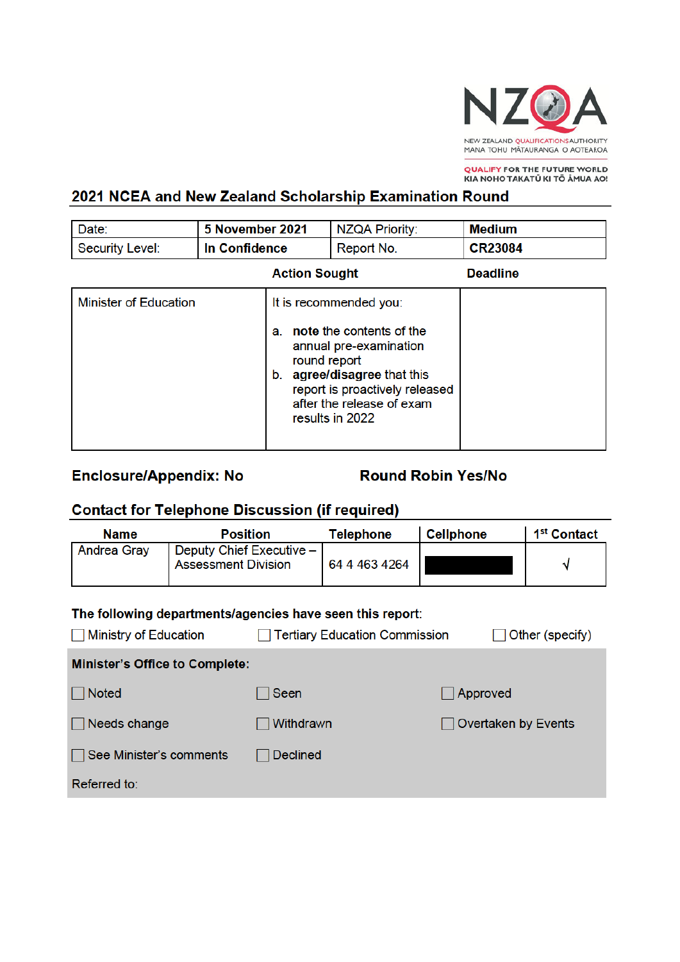

QUALIFY FOR THE FUTURE WORLD<br>KIA NOHO TAKATŪ KI TŌ ĀMUA AO!

## 2021 NCEA and New Zealand Scholarship Examination Round

| Date:                        | 5 November 2021 |                                                                                                                                                                                                                        | <b>NZQA Priority:</b> | <b>Medium</b>   |
|------------------------------|-----------------|------------------------------------------------------------------------------------------------------------------------------------------------------------------------------------------------------------------------|-----------------------|-----------------|
| <b>Security Level:</b>       | In Confidence   | Report No.                                                                                                                                                                                                             |                       | <b>CR23084</b>  |
|                              |                 | <b>Action Sought</b>                                                                                                                                                                                                   |                       | <b>Deadline</b> |
| <b>Minister of Education</b> |                 | It is recommended you:<br>note the contents of the<br>a.<br>annual pre-examination<br>round report<br>agree/disagree that this<br>b.<br>report is proactively released<br>after the release of exam<br>results in 2022 |                       |                 |

## **Enclosure/Appendix: No**

**Round Robin Yes/No** 

# **Contact for Telephone Discussion (if required)**

| <b>Name</b>                                                                                                                                          | <b>Position</b>                                        |                 | <b>Telephone</b>  | <b>Cellphone</b>           | 1 <sup>st</sup> Contact |
|------------------------------------------------------------------------------------------------------------------------------------------------------|--------------------------------------------------------|-----------------|-------------------|----------------------------|-------------------------|
| <b>Andrea Gray</b>                                                                                                                                   | Deputy Chief Executive -<br><b>Assessment Division</b> |                 | 64 4 4 63 4 2 6 4 |                            | ٧                       |
| The following departments/agencies have seen this report:<br>Other (specify)<br><b>Ministry of Education</b><br><b>Tertiary Education Commission</b> |                                                        |                 |                   |                            |                         |
| <b>Minister's Office to Complete:</b>                                                                                                                |                                                        |                 |                   |                            |                         |
| <b>Noted</b>                                                                                                                                         |                                                        | Seen            |                   | Approved                   |                         |
| Needs change                                                                                                                                         |                                                        | Withdrawn       |                   | <b>Overtaken by Events</b> |                         |
| See Minister's comments                                                                                                                              |                                                        | <b>Declined</b> |                   |                            |                         |
| Referred to:                                                                                                                                         |                                                        |                 |                   |                            |                         |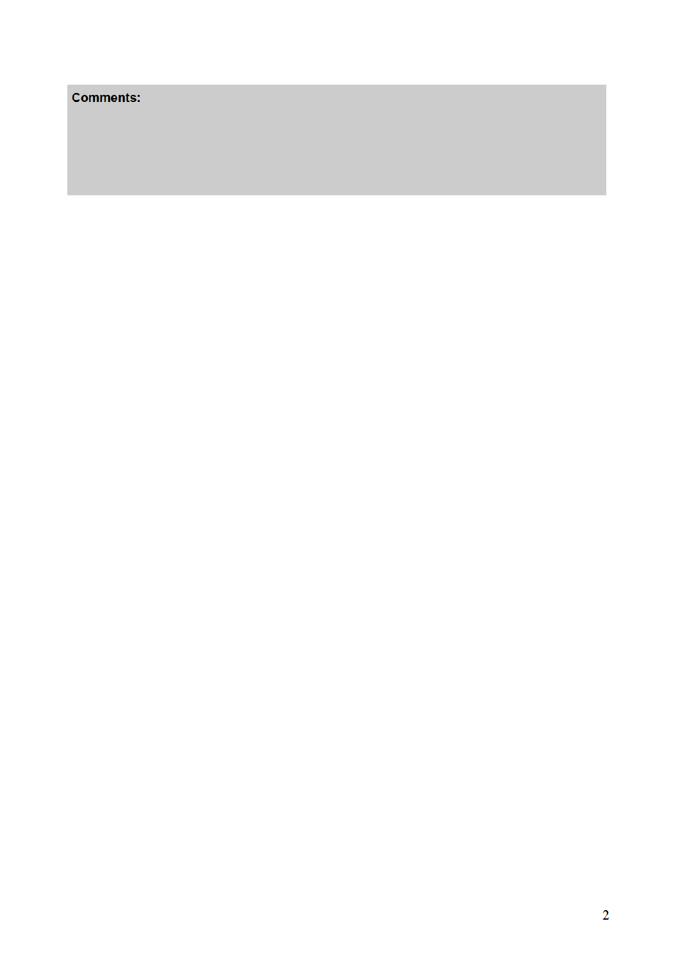## **Comments:**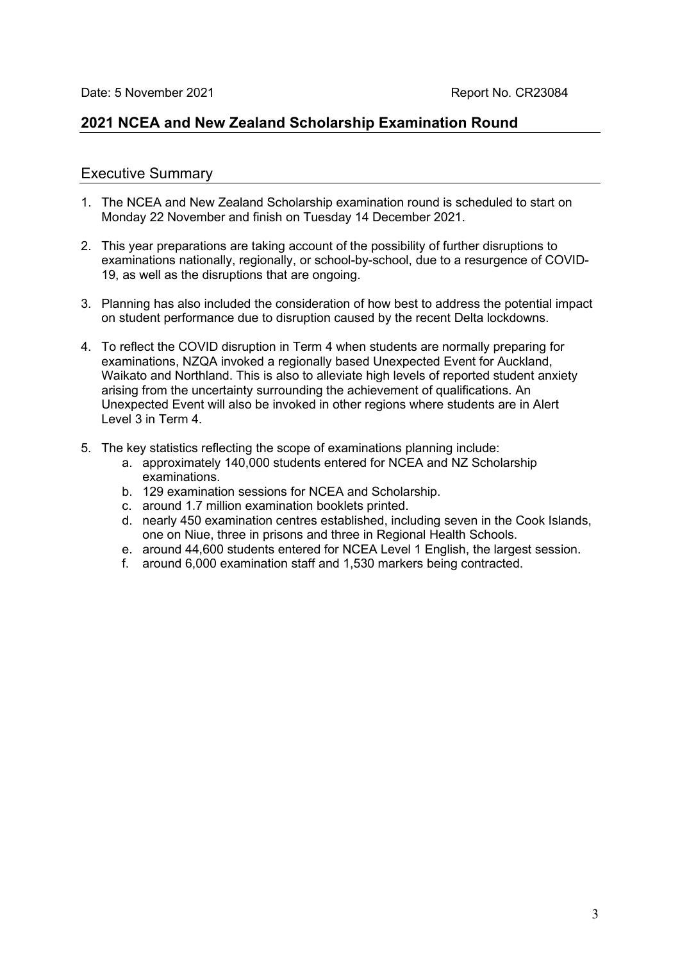## **2021 NCEA and New Zealand Scholarship Examination Round**

#### Executive Summary

- 1. The NCEA and New Zealand Scholarship examination round is scheduled to start on Monday 22 November and finish on Tuesday 14 December 2021.
- 2. This year preparations are taking account of the possibility of further disruptions to examinations nationally, regionally, or school-by-school, due to a resurgence of COVID-19, as well as the disruptions that are ongoing.
- 3. Planning has also included the consideration of how best to address the potential impact on student performance due to disruption caused by the recent Delta lockdowns.
- 4. To reflect the COVID disruption in Term 4 when students are normally preparing for examinations, NZQA invoked a regionally based Unexpected Event for Auckland, Waikato and Northland. This is also to alleviate high levels of reported student anxiety arising from the uncertainty surrounding the achievement of qualifications. An Unexpected Event will also be invoked in other regions where students are in Alert Level 3 in Term 4.
- 5. The key statistics reflecting the scope of examinations planning include:
	- a. approximately 140,000 students entered for NCEA and NZ Scholarship examinations.
	- b. 129 examination sessions for NCEA and Scholarship.
	- c. around 1.7 million examination booklets printed.
	- d. nearly 450 examination centres established, including seven in the Cook Islands, one on Niue, three in prisons and three in Regional Health Schools.
	- e. around 44,600 students entered for NCEA Level 1 English, the largest session.
	- f. around 6,000 examination staff and 1,530 markers being contracted.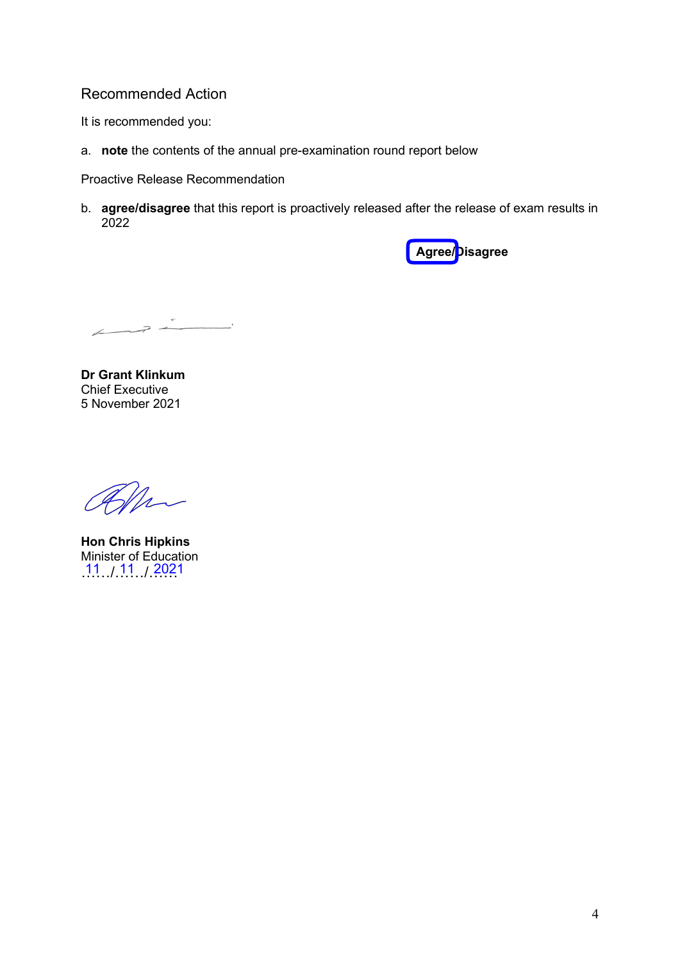## Recommended Action

It is recommended you:

a. **note** the contents of the annual pre-examination round report below

Proactive Release Recommendation

b. **agree/disagree** that this report is proactively released after the release of exam results in 2022



 $\overline{a}$ 

**Dr Grant Klinkum** Chief Executive 5 November 2021

Elle

**Hon Chris Hipkins** Minister of Education  $11 / 11 / 2021$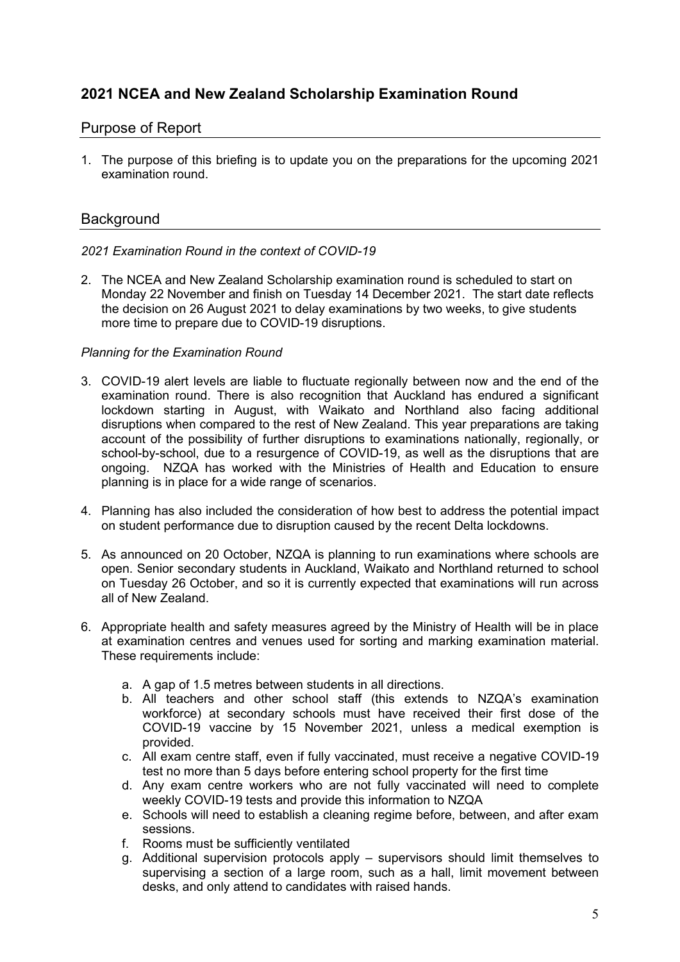## **2021 NCEA and New Zealand Scholarship Examination Round**

### Purpose of Report

1. The purpose of this briefing is to update you on the preparations for the upcoming 2021 examination round.

### **Background**

#### *2021 Examination Round in the context of COVID-19*

2. The NCEA and New Zealand Scholarship examination round is scheduled to start on Monday 22 November and finish on Tuesday 14 December 2021. The start date reflects the decision on 26 August 2021 to delay examinations by two weeks, to give students more time to prepare due to COVID-19 disruptions.

#### *Planning for the Examination Round*

- 3. COVID-19 alert levels are liable to fluctuate regionally between now and the end of the examination round. There is also recognition that Auckland has endured a significant lockdown starting in August, with Waikato and Northland also facing additional disruptions when compared to the rest of New Zealand. This year preparations are taking account of the possibility of further disruptions to examinations nationally, regionally, or school-by-school, due to a resurgence of COVID-19, as well as the disruptions that are ongoing. NZQA has worked with the Ministries of Health and Education to ensure planning is in place for a wide range of scenarios.
- 4. Planning has also included the consideration of how best to address the potential impact on student performance due to disruption caused by the recent Delta lockdowns.
- 5. As announced on 20 October, NZQA is planning to run examinations where schools are open. Senior secondary students in Auckland, Waikato and Northland returned to school on Tuesday 26 October, and so it is currently expected that examinations will run across all of New Zealand.
- 6. Appropriate health and safety measures agreed by the Ministry of Health will be in place at examination centres and venues used for sorting and marking examination material. These requirements include:
	- a. A gap of 1.5 metres between students in all directions.
	- b. All teachers and other school staff (this extends to NZQA's examination workforce) at secondary schools must have received their first dose of the COVID-19 vaccine by 15 November 2021, unless a medical exemption is provided.
	- c. All exam centre staff, even if fully vaccinated, must receive a negative COVID-19 test no more than 5 days before entering school property for the first time
	- d. Any exam centre workers who are not fully vaccinated will need to complete weekly COVID-19 tests and provide this information to NZQA
	- e. Schools will need to establish a cleaning regime before, between, and after exam sessions.
	- f. Rooms must be sufficiently ventilated
	- g. Additional supervision protocols apply supervisors should limit themselves to supervising a section of a large room, such as a hall, limit movement between desks, and only attend to candidates with raised hands.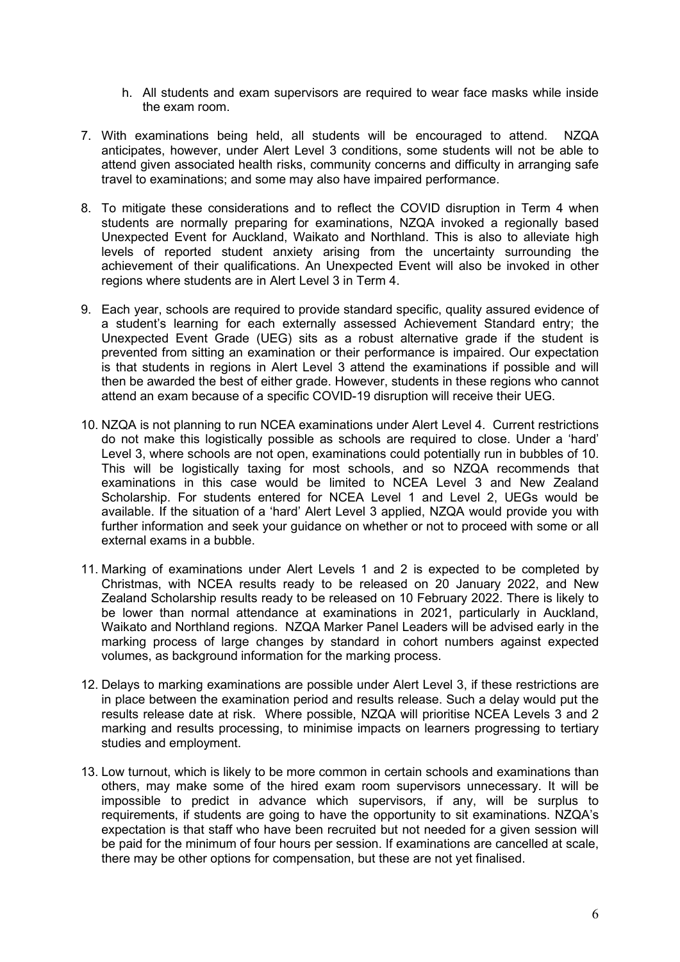- h. All students and exam supervisors are required to wear face masks while inside the exam room.
- 7. With examinations being held, all students will be encouraged to attend. NZQA anticipates, however, under Alert Level 3 conditions, some students will not be able to attend given associated health risks, community concerns and difficulty in arranging safe travel to examinations; and some may also have impaired performance.
- 8. To mitigate these considerations and to reflect the COVID disruption in Term 4 when students are normally preparing for examinations, NZQA invoked a regionally based Unexpected Event for Auckland, Waikato and Northland. This is also to alleviate high levels of reported student anxiety arising from the uncertainty surrounding the achievement of their qualifications. An Unexpected Event will also be invoked in other regions where students are in Alert Level 3 in Term 4.
- 9. Each year, schools are required to provide standard specific, quality assured evidence of a student's learning for each externally assessed Achievement Standard entry; the Unexpected Event Grade (UEG) sits as a robust alternative grade if the student is prevented from sitting an examination or their performance is impaired. Our expectation is that students in regions in Alert Level 3 attend the examinations if possible and will then be awarded the best of either grade. However, students in these regions who cannot attend an exam because of a specific COVID-19 disruption will receive their UEG.
- 10. NZQA is not planning to run NCEA examinations under Alert Level 4. Current restrictions do not make this logistically possible as schools are required to close. Under a 'hard' Level 3, where schools are not open, examinations could potentially run in bubbles of 10. This will be logistically taxing for most schools, and so NZQA recommends that examinations in this case would be limited to NCEA Level 3 and New Zealand Scholarship. For students entered for NCEA Level 1 and Level 2, UEGs would be available. If the situation of a 'hard' Alert Level 3 applied, NZQA would provide you with further information and seek your guidance on whether or not to proceed with some or all external exams in a bubble.
- 11. Marking of examinations under Alert Levels 1 and 2 is expected to be completed by Christmas, with NCEA results ready to be released on 20 January 2022, and New Zealand Scholarship results ready to be released on 10 February 2022. There is likely to be lower than normal attendance at examinations in 2021, particularly in Auckland, Waikato and Northland regions. NZQA Marker Panel Leaders will be advised early in the marking process of large changes by standard in cohort numbers against expected volumes, as background information for the marking process.
- 12. Delays to marking examinations are possible under Alert Level 3, if these restrictions are in place between the examination period and results release. Such a delay would put the results release date at risk. Where possible, NZQA will prioritise NCEA Levels 3 and 2 marking and results processing, to minimise impacts on learners progressing to tertiary studies and employment.
- 13. Low turnout, which is likely to be more common in certain schools and examinations than others, may make some of the hired exam room supervisors unnecessary. It will be impossible to predict in advance which supervisors, if any, will be surplus to requirements, if students are going to have the opportunity to sit examinations. NZQA's expectation is that staff who have been recruited but not needed for a given session will be paid for the minimum of four hours per session. If examinations are cancelled at scale, there may be other options for compensation, but these are not yet finalised.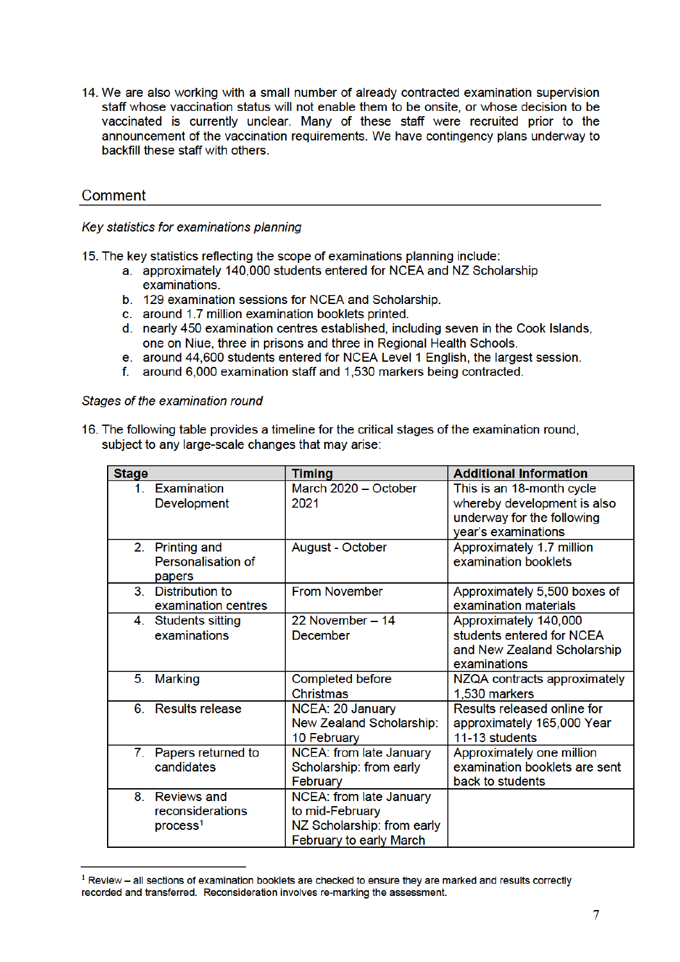14. We are also working with a small number of already contracted examination supervision staff whose vaccination status will not enable them to be onsite, or whose decision to be vaccinated is currently unclear. Many of these staff were recruited prior to the announcement of the vaccination requirements. We have contingency plans underway to backfill these staff with others.

## Comment

Key statistics for examinations planning

15. The key statistics reflecting the scope of examinations planning include:

- a. approximately 140,000 students entered for NCEA and NZ Scholarship examinations.
- b. 129 examination sessions for NCEA and Scholarship.
- c. around 1.7 million examination booklets printed.
- d. nearly 450 examination centres established, including seven in the Cook Islands, one on Niue, three in prisons and three in Regional Health Schools.
- e. around 44,600 students entered for NCEA Level 1 English, the largest session.
- f. around 6,000 examination staff and 1,530 markers being contracted.

Stages of the examination round

|  | 16. The following table provides a timeline for the critical stages of the examination round, |  |  |  |
|--|-----------------------------------------------------------------------------------------------|--|--|--|
|  | subject to any large-scale changes that may arise:                                            |  |  |  |

| <b>Stage</b> |                                                                | <b>Timing</b>                                                                                       | <b>Additional Information</b>                                                                                 |
|--------------|----------------------------------------------------------------|-----------------------------------------------------------------------------------------------------|---------------------------------------------------------------------------------------------------------------|
| 1.           | Examination<br>Development                                     | March 2020 - October<br>2021                                                                        | This is an 18-month cycle<br>whereby development is also<br>underway for the following<br>year's examinations |
| 2.           | <b>Printing and</b><br>Personalisation of<br>papers            | August - October                                                                                    | Approximately 1.7 million<br>examination booklets                                                             |
| 3            | Distribution to<br>examination centres                         | <b>From November</b>                                                                                | Approximately 5,500 boxes of<br>examination materials                                                         |
|              | 4. Students sitting<br>examinations                            | 22 November - 14<br><b>December</b>                                                                 | Approximately 140,000<br>students entered for NCEA<br>and New Zealand Scholarship<br>examinations             |
| 5.           | <b>Marking</b>                                                 | Completed before<br>Christmas                                                                       | NZQA contracts approximately<br>1,530 markers                                                                 |
|              | 6. Results release                                             | NCEA: 20 January<br>New Zealand Scholarship:<br>10 February                                         | Results released online for<br>approximately 165,000 Year<br>11-13 students                                   |
| 7.           | Papers returned to<br>candidates                               | NCEA: from late January<br>Scholarship: from early<br>February                                      | Approximately one million<br>examination booklets are sent<br>back to students                                |
| 8.           | <b>Reviews and</b><br>reconsiderations<br>process <sup>1</sup> | NCEA: from late January<br>to mid-February<br>NZ Scholarship: from early<br>February to early March |                                                                                                               |

 $1$  Review – all sections of examination booklets are checked to ensure they are marked and results correctly recorded and transferred. Reconsideration involves re-marking the assessment.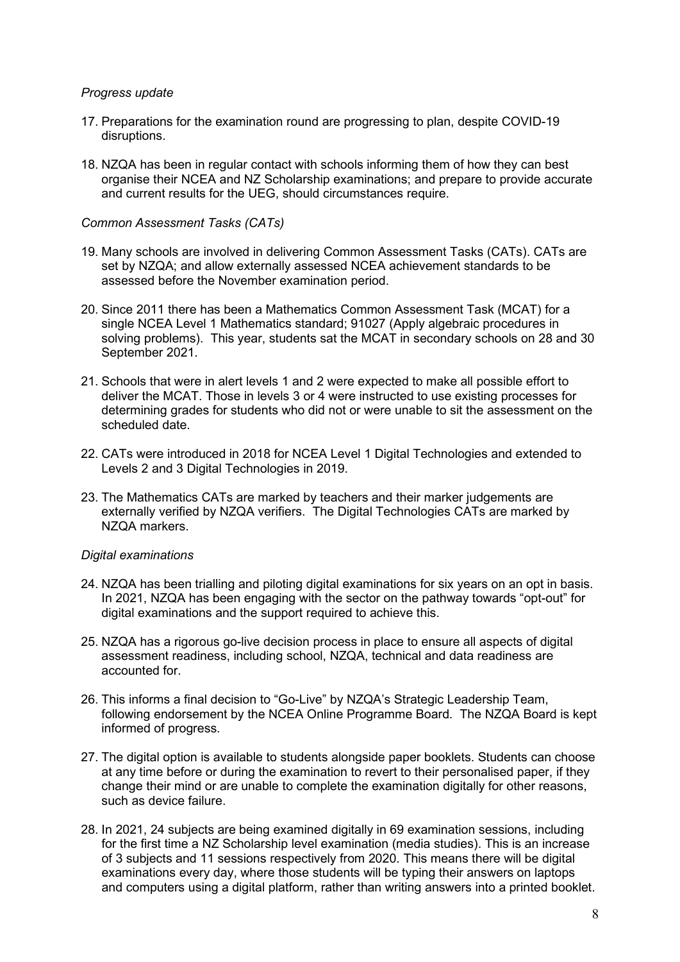#### *Progress update*

- 17. Preparations for the examination round are progressing to plan, despite COVID-19 disruptions.
- 18. NZQA has been in regular contact with schools informing them of how they can best organise their NCEA and NZ Scholarship examinations; and prepare to provide accurate and current results for the UEG, should circumstances require.

#### *Common Assessment Tasks (CATs)*

- 19. Many schools are involved in delivering Common Assessment Tasks (CATs). CATs are set by NZQA; and allow externally assessed NCEA achievement standards to be assessed before the November examination period.
- 20. Since 2011 there has been a Mathematics Common Assessment Task (MCAT) for a single NCEA Level 1 Mathematics standard; 91027 (Apply algebraic procedures in solving problems). This year, students sat the MCAT in secondary schools on 28 and 30 September 2021.
- 21. Schools that were in alert levels 1 and 2 were expected to make all possible effort to deliver the MCAT. Those in levels 3 or 4 were instructed to use existing processes for determining grades for students who did not or were unable to sit the assessment on the scheduled date.
- 22. CATs were introduced in 2018 for NCEA Level 1 Digital Technologies and extended to Levels 2 and 3 Digital Technologies in 2019.
- 23. The Mathematics CATs are marked by teachers and their marker judgements are externally verified by NZQA verifiers. The Digital Technologies CATs are marked by NZQA markers.

#### *Digital examinations*

- 24. NZQA has been trialling and piloting digital examinations for six years on an opt in basis. In 2021, NZQA has been engaging with the sector on the pathway towards "opt-out" for digital examinations and the support required to achieve this.
- 25. NZQA has a rigorous go-live decision process in place to ensure all aspects of digital assessment readiness, including school, NZQA, technical and data readiness are accounted for.
- 26. This informs a final decision to "Go-Live" by NZQA's Strategic Leadership Team, following endorsement by the NCEA Online Programme Board. The NZQA Board is kept informed of progress.
- 27. The digital option is available to students alongside paper booklets. Students can choose at any time before or during the examination to revert to their personalised paper, if they change their mind or are unable to complete the examination digitally for other reasons, such as device failure.
- 28. In 2021, 24 subjects are being examined digitally in 69 examination sessions, including for the first time a NZ Scholarship level examination (media studies). This is an increase of 3 subjects and 11 sessions respectively from 2020. This means there will be digital examinations every day, where those students will be typing their answers on laptops and computers using a digital platform, rather than writing answers into a printed booklet.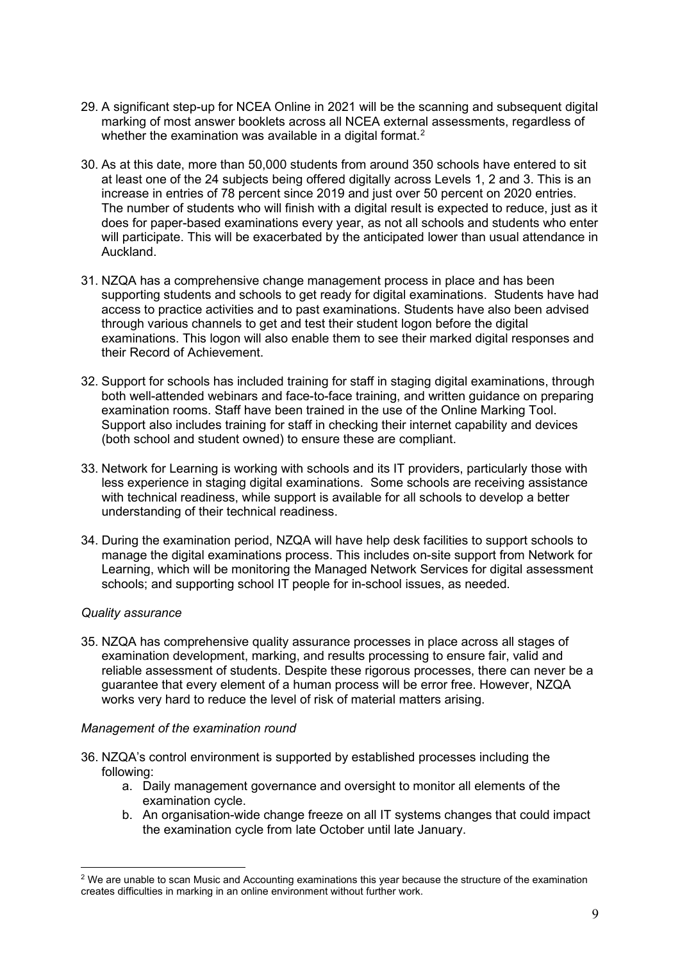- 29. A significant step-up for NCEA Online in 2021 will be the scanning and subsequent digital marking of most answer booklets across all NCEA external assessments, regardless of whether the examination was available in a digital format. $^{\text{2}}$
- 30. As at this date, more than 50,000 students from around 350 schools have entered to sit at least one of the 24 subjects being offered digitally across Levels 1, 2 and 3. This is an increase in entries of 78 percent since 2019 and just over 50 percent on 2020 entries. The number of students who will finish with a digital result is expected to reduce, just as it does for paper-based examinations every year, as not all schools and students who enter will participate. This will be exacerbated by the anticipated lower than usual attendance in Auckland.
- 31. NZQA has a comprehensive change management process in place and has been supporting students and schools to get ready for digital examinations. Students have had access to practice activities and to past examinations. Students have also been advised through various channels to get and test their student logon before the digital examinations. This logon will also enable them to see their marked digital responses and their Record of Achievement.
- 32. Support for schools has included training for staff in staging digital examinations, through both well-attended webinars and face-to-face training, and written guidance on preparing examination rooms. Staff have been trained in the use of the Online Marking Tool. Support also includes training for staff in checking their internet capability and devices (both school and student owned) to ensure these are compliant.
- 33. Network for Learning is working with schools and its IT providers, particularly those with less experience in staging digital examinations. Some schools are receiving assistance with technical readiness, while support is available for all schools to develop a better understanding of their technical readiness.
- 34. During the examination period, NZQA will have help desk facilities to support schools to manage the digital examinations process. This includes on-site support from Network for Learning, which will be monitoring the Managed Network Services for digital assessment schools; and supporting school IT people for in-school issues, as needed.

#### *Quality assurance*

35. NZQA has comprehensive quality assurance processes in place across all stages of examination development, marking, and results processing to ensure fair, valid and reliable assessment of students. Despite these rigorous processes, there can never be a guarantee that every element of a human process will be error free. However, NZQA works very hard to reduce the level of risk of material matters arising.

#### *Management of the examination round*

- 36. NZQA's control environment is supported by established processes including the following:
	- a. Daily management governance and oversight to monitor all elements of the examination cycle.
	- b. An organisation-wide change freeze on all IT systems changes that could impact the examination cycle from late October until late January.

<sup>&</sup>lt;sup>2</sup> We are unable to scan Music and Accounting examinations this year because the structure of the examination creates difficulties in marking in an online environment without further work.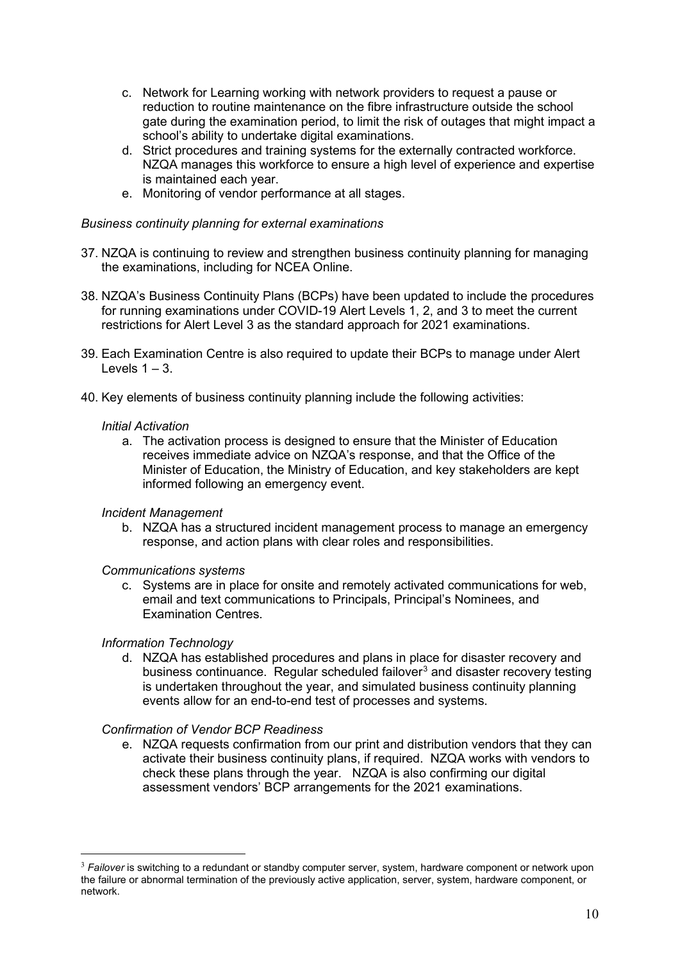- c. Network for Learning working with network providers to request a pause or reduction to routine maintenance on the fibre infrastructure outside the school gate during the examination period, to limit the risk of outages that might impact a school's ability to undertake digital examinations.
- d. Strict procedures and training systems for the externally contracted workforce. NZQA manages this workforce to ensure a high level of experience and expertise is maintained each year.
- e. Monitoring of vendor performance at all stages.

#### *Business continuity planning for external examinations*

- 37. NZQA is continuing to review and strengthen business continuity planning for managing the examinations, including for NCEA Online.
- 38. NZQA's Business Continuity Plans (BCPs) have been updated to include the procedures for running examinations under COVID-19 Alert Levels 1, 2, and 3 to meet the current restrictions for Alert Level 3 as the standard approach for 2021 examinations.
- 39. Each Examination Centre is also required to update their BCPs to manage under Alert Levels  $1 - 3$ .
- 40. Key elements of business continuity planning include the following activities:

#### *Initial Activation*

a. The activation process is designed to ensure that the Minister of Education receives immediate advice on NZQA's response, and that the Office of the Minister of Education, the Ministry of Education, and key stakeholders are kept informed following an emergency event.

#### *Incident Management*

b. NZQA has a structured incident management process to manage an emergency response, and action plans with clear roles and responsibilities.

#### *Communications systems*

c. Systems are in place for onsite and remotely activated communications for web, email and text communications to Principals, Principal's Nominees, and Examination Centres.

#### *Information Technology*

d. NZQA has established procedures and plans in place for disaster recovery and business continuance. Regular scheduled failover<sup>3</sup> and disaster recovery testing is undertaken throughout the year, and simulated business continuity planning events allow for an end-to-end test of processes and systems.

#### *Confirmation of Vendor BCP Readiness*

e. NZQA requests confirmation from our print and distribution vendors that they can activate their business continuity plans, if required. NZQA works with vendors to check these plans through the year. NZQA is also confirming our digital assessment vendors' BCP arrangements for the 2021 examinations.

<sup>3</sup> *Failover* is switching to a redundant or standby computer server, system, hardware component or network upon the failure or abnormal termination of the previously active application, server, system, hardware component, or network.